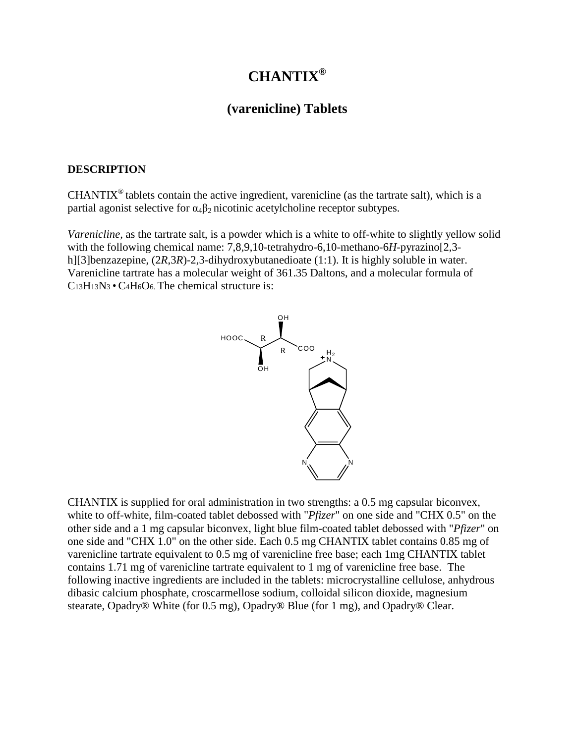# **CHANTIX®**

# **(varenicline) Tablets**

#### **DESCRIPTION**

 $CHANTIX<sup>®</sup>$  tablets contain the active ingredient, varenicline (as the tartrate salt), which is a partial agonist selective for  $\alpha_4\beta_2$  nicotinic acetylcholine receptor subtypes.

*Varenicline*, as the tartrate salt, is a powder which is a white to off-white to slightly yellow solid with the following chemical name: 7,8,9,10-tetrahydro-6,10-methano-6*H*-pyrazino[2,3 h][3]benzazepine,  $(2R,3R)$ -2,3-dihydroxybutanedioate (1:1). It is highly soluble in water. Varenicline tartrate has a molecular weight of 361.35 Daltons, and a molecular formula of C13H13N3 • C4H6O6. The chemical structure is:



CHANTIX is supplied for oral administration in two strengths: a 0.5 mg capsular biconvex, white to off-white, film-coated tablet debossed with "*Pfizer*" on one side and "CHX 0.5" on the other side and a 1 mg capsular biconvex, light blue film-coated tablet debossed with "*Pfizer*" on one side and "CHX 1.0" on the other side. Each 0.5 mg CHANTIX tablet contains 0.85 mg of varenicline tartrate equivalent to 0.5 mg of varenicline free base; each 1mg CHANTIX tablet contains 1.71 mg of varenicline tartrate equivalent to 1 mg of varenicline free base. The following inactive ingredients are included in the tablets: microcrystalline cellulose, anhydrous dibasic calcium phosphate, croscarmellose sodium, colloidal silicon dioxide, magnesium stearate, Opadry® White (for 0.5 mg), Opadry® Blue (for 1 mg), and Opadry® Clear.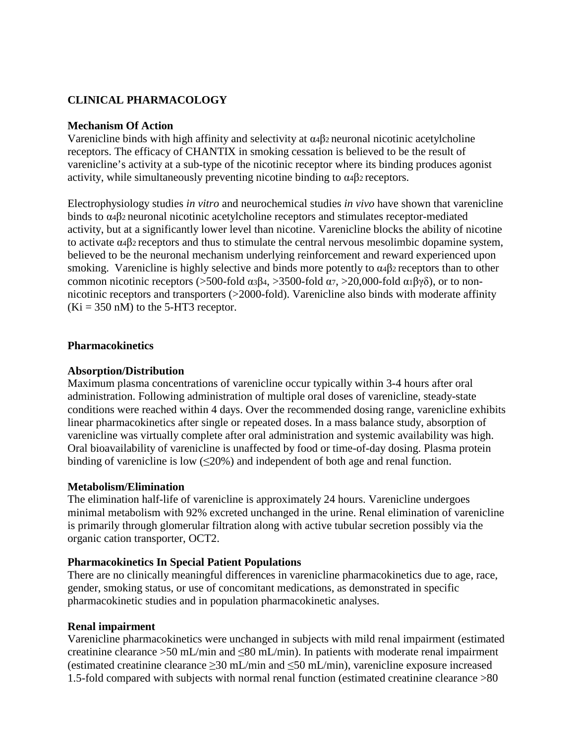# **CLINICAL PHARMACOLOGY**

#### **Mechanism Of Action**

Varenicline binds with high affinity and selectivity at  $\alpha$ <sup>4</sup> $\beta$ 2 neuronal nicotinic acetylcholine receptors. The efficacy of CHANTIX in smoking cessation is believed to be the result of varenicline's activity at a sub-type of the nicotinic receptor where its binding produces agonist activity, while simultaneously preventing nicotine binding to α4β2 receptors.

Electrophysiology studies *in vitro* and neurochemical studies *in vivo* have shown that varenicline binds to α4β2 neuronal nicotinic acetylcholine receptors and stimulates receptor-mediated activity, but at a significantly lower level than nicotine. Varenicline blocks the ability of nicotine to activate α4β2 receptors and thus to stimulate the central nervous mesolimbic dopamine system, believed to be the neuronal mechanism underlying reinforcement and reward experienced upon smoking. Varenicline is highly selective and binds more potently to α4β2 receptors than to other common nicotinic receptors (>500-fold α $3β_4$ , >3500-fold α $7$ , >20,000-fold α $1βγδ$ ), or to nonnicotinic receptors and transporters (>2000-fold). Varenicline also binds with moderate affinity  $(Ki = 350$  nM) to the 5-HT3 receptor.

#### **Pharmacokinetics**

#### **Absorption/Distribution**

Maximum plasma concentrations of varenicline occur typically within 3-4 hours after oral administration. Following administration of multiple oral doses of varenicline, steady-state conditions were reached within 4 days. Over the recommended dosing range, varenicline exhibits linear pharmacokinetics after single or repeated doses. In a mass balance study, absorption of varenicline was virtually complete after oral administration and systemic availability was high. Oral bioavailability of varenicline is unaffected by food or time-of-day dosing. Plasma protein binding of varenicline is low  $(\leq 20\%)$  and independent of both age and renal function.

#### **Metabolism/Elimination**

The elimination half-life of varenicline is approximately 24 hours. Varenicline undergoes minimal metabolism with 92% excreted unchanged in the urine. Renal elimination of varenicline is primarily through glomerular filtration along with active tubular secretion possibly via the organic cation transporter, OCT2.

#### **Pharmacokinetics In Special Patient Populations**

There are no clinically meaningful differences in varenicline pharmacokinetics due to age, race, gender, smoking status, or use of concomitant medications, as demonstrated in specific pharmacokinetic studies and in population pharmacokinetic analyses.

#### **Renal impairment**

Varenicline pharmacokinetics were unchanged in subjects with mild renal impairment (estimated creatinine clearance >50 mL/min and ≤80 mL/min). In patients with moderate renal impairment (estimated creatinine clearance ≥30 mL/min and ≤50 mL/min), varenicline exposure increased 1.5-fold compared with subjects with normal renal function (estimated creatinine clearance >80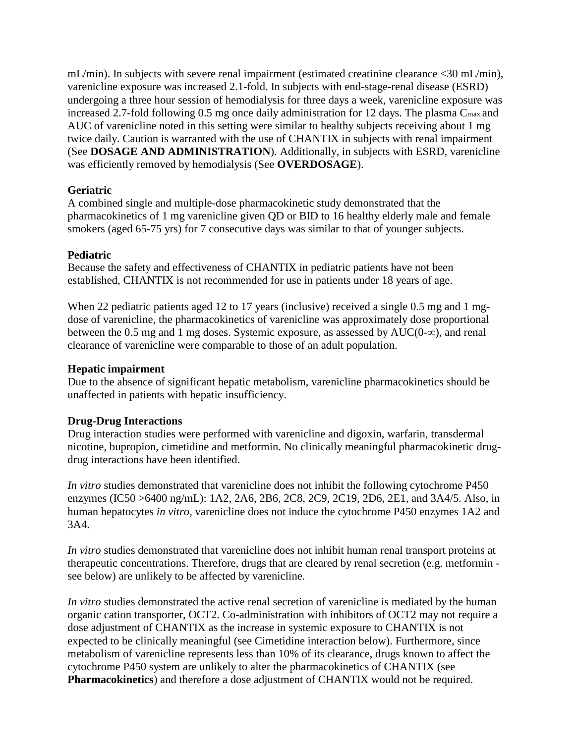mL/min). In subjects with severe renal impairment (estimated creatinine clearance <30 mL/min), varenicline exposure was increased 2.1-fold. In subjects with end-stage-renal disease (ESRD) undergoing a three hour session of hemodialysis for three days a week, varenicline exposure was increased 2.7-fold following 0.5 mg once daily administration for 12 days. The plasma C<sub>max</sub> and AUC of varenicline noted in this setting were similar to healthy subjects receiving about 1 mg twice daily. Caution is warranted with the use of CHANTIX in subjects with renal impairment (See **DOSAGE AND ADMINISTRATION**). Additionally, in subjects with ESRD, varenicline was efficiently removed by hemodialysis (See **OVERDOSAGE**).

#### **Geriatric**

A combined single and multiple-dose pharmacokinetic study demonstrated that the pharmacokinetics of 1 mg varenicline given QD or BID to 16 healthy elderly male and female smokers (aged 65-75 yrs) for 7 consecutive days was similar to that of younger subjects.

#### **Pediatric**

Because the safety and effectiveness of CHANTIX in pediatric patients have not been established, CHANTIX is not recommended for use in patients under 18 years of age.

When 22 pediatric patients aged 12 to 17 years (inclusive) received a single 0.5 mg and 1 mgdose of varenicline, the pharmacokinetics of varenicline was approximately dose proportional between the 0.5 mg and 1 mg doses. Systemic exposure, as assessed by  $AUC(0-\infty)$ , and renal clearance of varenicline were comparable to those of an adult population.

#### **Hepatic impairment**

Due to the absence of significant hepatic metabolism, varenicline pharmacokinetics should be unaffected in patients with hepatic insufficiency.

# **Drug-Drug Interactions**

Drug interaction studies were performed with varenicline and digoxin, warfarin, transdermal nicotine, bupropion, cimetidine and metformin. No clinically meaningful pharmacokinetic drugdrug interactions have been identified.

*In vitro* studies demonstrated that varenicline does not inhibit the following cytochrome P450 enzymes (IC50 >6400 ng/mL): 1A2, 2A6, 2B6, 2C8, 2C9, 2C19, 2D6, 2E1, and 3A4/5. Also, in human hepatocytes *in vitro*, varenicline does not induce the cytochrome P450 enzymes 1A2 and 3A4.

*In vitro* studies demonstrated that varenicline does not inhibit human renal transport proteins at therapeutic concentrations. Therefore, drugs that are cleared by renal secretion (e.g. metformin see below) are unlikely to be affected by varenicline.

*In vitro* studies demonstrated the active renal secretion of varenicline is mediated by the human organic cation transporter, OCT2. Co-administration with inhibitors of OCT2 may not require a dose adjustment of CHANTIX as the increase in systemic exposure to CHANTIX is not expected to be clinically meaningful (see Cimetidine interaction below). Furthermore, since metabolism of varenicline represents less than 10% of its clearance, drugs known to affect the cytochrome P450 system are unlikely to alter the pharmacokinetics of CHANTIX (see **Pharmacokinetics**) and therefore a dose adjustment of CHANTIX would not be required.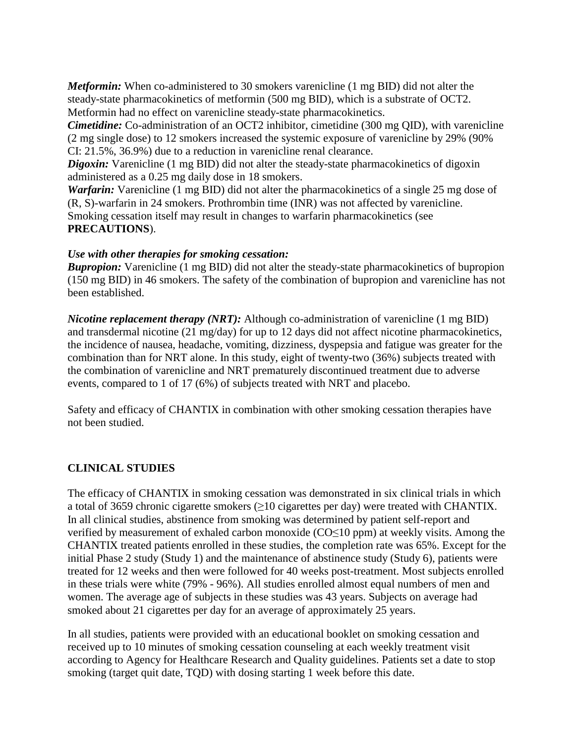*Metformin:* When co-administered to 30 smokers varenicline (1 mg BID) did not alter the steady-state pharmacokinetics of metformin (500 mg BID), which is a substrate of OCT2. Metformin had no effect on varenicline steady-state pharmacokinetics.

*Cimetidine:* Co-administration of an OCT2 inhibitor, cimetidine (300 mg QID), with varenicline (2 mg single dose) to 12 smokers increased the systemic exposure of varenicline by 29% (90% CI: 21.5%, 36.9%) due to a reduction in varenicline renal clearance.

*Digoxin:* Varenicline (1 mg BID) did not alter the steady-state pharmacokinetics of digoxin administered as a 0.25 mg daily dose in 18 smokers.

*Warfarin:* Varenicline (1 mg BID) did not alter the pharmacokinetics of a single 25 mg dose of (R, S)-warfarin in 24 smokers. Prothrombin time (INR) was not affected by varenicline. Smoking cessation itself may result in changes to warfarin pharmacokinetics (see **PRECAUTIONS**).

#### *Use with other therapies for smoking cessation:*

*Bupropion:* Varenicline (1 mg BID) did not alter the steady-state pharmacokinetics of bupropion (150 mg BID) in 46 smokers. The safety of the combination of bupropion and varenicline has not been established.

*Nicotine replacement therapy (NRT):* Although co-administration of varenicline (1 mg BID) and transdermal nicotine (21 mg/day) for up to 12 days did not affect nicotine pharmacokinetics, the incidence of nausea, headache, vomiting, dizziness, dyspepsia and fatigue was greater for the combination than for NRT alone. In this study, eight of twenty-two (36%) subjects treated with the combination of varenicline and NRT prematurely discontinued treatment due to adverse events, compared to 1 of 17 (6%) of subjects treated with NRT and placebo.

Safety and efficacy of CHANTIX in combination with other smoking cessation therapies have not been studied.

# **CLINICAL STUDIES**

The efficacy of CHANTIX in smoking cessation was demonstrated in six clinical trials in which a total of 3659 chronic cigarette smokers  $(≥10$  cigarettes per day) were treated with CHANTIX. In all clinical studies, abstinence from smoking was determined by patient self-report and verified by measurement of exhaled carbon monoxide (CO≤10 ppm) at weekly visits. Among the CHANTIX treated patients enrolled in these studies, the completion rate was 65%. Except for the initial Phase 2 study (Study 1) and the maintenance of abstinence study (Study 6), patients were treated for 12 weeks and then were followed for 40 weeks post-treatment. Most subjects enrolled in these trials were white (79% - 96%). All studies enrolled almost equal numbers of men and women. The average age of subjects in these studies was 43 years. Subjects on average had smoked about 21 cigarettes per day for an average of approximately 25 years.

In all studies, patients were provided with an educational booklet on smoking cessation and received up to 10 minutes of smoking cessation counseling at each weekly treatment visit according to Agency for Healthcare Research and Quality guidelines. Patients set a date to stop smoking (target quit date, TQD) with dosing starting 1 week before this date.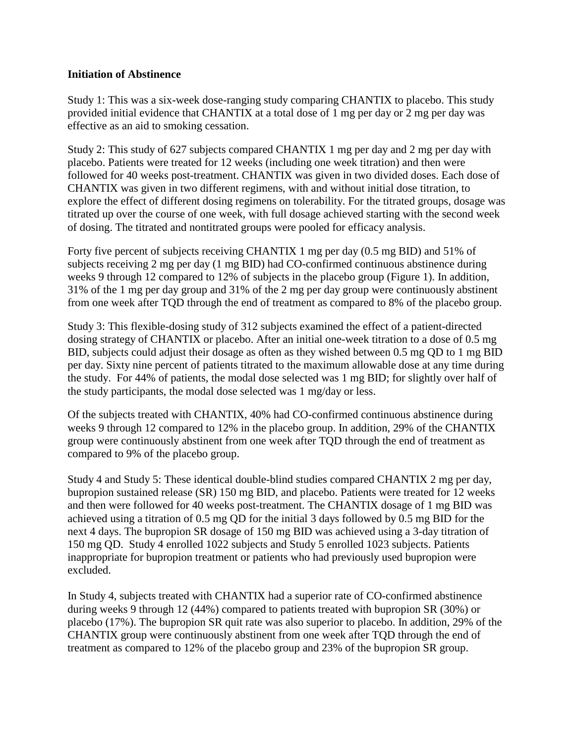#### **Initiation of Abstinence**

Study 1: This was a six-week dose-ranging study comparing CHANTIX to placebo. This study provided initial evidence that CHANTIX at a total dose of 1 mg per day or 2 mg per day was effective as an aid to smoking cessation.

Study 2: This study of 627 subjects compared CHANTIX 1 mg per day and 2 mg per day with placebo. Patients were treated for 12 weeks (including one week titration) and then were followed for 40 weeks post-treatment. CHANTIX was given in two divided doses. Each dose of CHANTIX was given in two different regimens, with and without initial dose titration, to explore the effect of different dosing regimens on tolerability. For the titrated groups, dosage was titrated up over the course of one week, with full dosage achieved starting with the second week of dosing. The titrated and nontitrated groups were pooled for efficacy analysis.

Forty five percent of subjects receiving CHANTIX 1 mg per day (0.5 mg BID) and 51% of subjects receiving 2 mg per day (1 mg BID) had CO-confirmed continuous abstinence during weeks 9 through 12 compared to 12% of subjects in the placebo group (Figure 1). In addition, 31% of the 1 mg per day group and 31% of the 2 mg per day group were continuously abstinent from one week after TQD through the end of treatment as compared to 8% of the placebo group.

Study 3: This flexible-dosing study of 312 subjects examined the effect of a patient-directed dosing strategy of CHANTIX or placebo. After an initial one-week titration to a dose of 0.5 mg BID, subjects could adjust their dosage as often as they wished between 0.5 mg QD to 1 mg BID per day. Sixty nine percent of patients titrated to the maximum allowable dose at any time during the study. For 44% of patients, the modal dose selected was 1 mg BID; for slightly over half of the study participants, the modal dose selected was 1 mg/day or less.

Of the subjects treated with CHANTIX, 40% had CO-confirmed continuous abstinence during weeks 9 through 12 compared to 12% in the placebo group. In addition, 29% of the CHANTIX group were continuously abstinent from one week after TQD through the end of treatment as compared to 9% of the placebo group.

Study 4 and Study 5: These identical double-blind studies compared CHANTIX 2 mg per day, bupropion sustained release (SR) 150 mg BID, and placebo. Patients were treated for 12 weeks and then were followed for 40 weeks post-treatment. The CHANTIX dosage of 1 mg BID was achieved using a titration of 0.5 mg QD for the initial 3 days followed by 0.5 mg BID for the next 4 days. The bupropion SR dosage of 150 mg BID was achieved using a 3-day titration of 150 mg QD. Study 4 enrolled 1022 subjects and Study 5 enrolled 1023 subjects. Patients inappropriate for bupropion treatment or patients who had previously used bupropion were excluded.

In Study 4, subjects treated with CHANTIX had a superior rate of CO-confirmed abstinence during weeks 9 through 12 (44%) compared to patients treated with bupropion SR (30%) or placebo (17%). The bupropion SR quit rate was also superior to placebo. In addition, 29% of the CHANTIX group were continuously abstinent from one week after TQD through the end of treatment as compared to 12% of the placebo group and 23% of the bupropion SR group.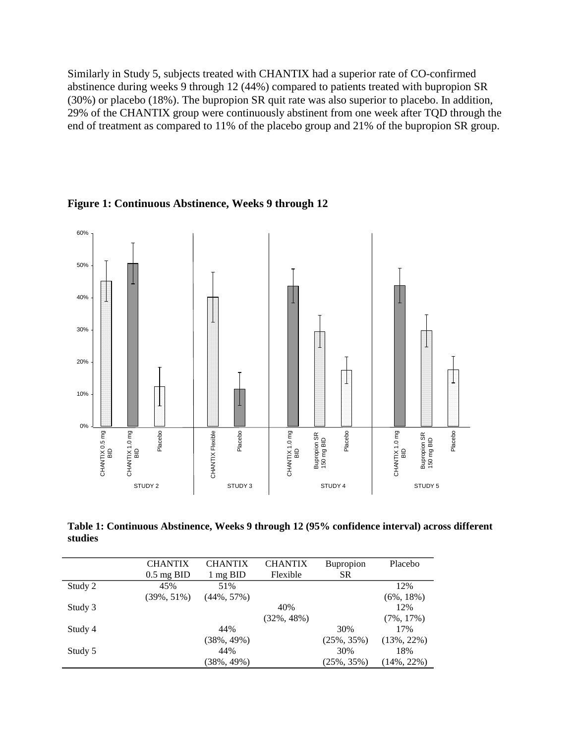Similarly in Study 5, subjects treated with CHANTIX had a superior rate of CO-confirmed abstinence during weeks 9 through 12 (44%) compared to patients treated with bupropion SR (30%) or placebo (18%). The bupropion SR quit rate was also superior to placebo. In addition, 29% of the CHANTIX group were continuously abstinent from one week after TQD through the end of treatment as compared to 11% of the placebo group and 21% of the bupropion SR group.



**Figure 1: Continuous Abstinence, Weeks 9 through 12**

**Table 1: Continuous Abstinence, Weeks 9 through 12 (95% confidence interval) across different studies**

|         | <b>CHANTIX</b> | <b>CHANTIX</b> | <b>CHANTIX</b> | <b>Bupropion</b> | Placebo        |
|---------|----------------|----------------|----------------|------------------|----------------|
|         | $0.5$ mg BID   | 1 mg BID       | Flexible       | <b>SR</b>        |                |
| Study 2 | 45%            | 51%            |                |                  | 12%            |
|         | $(39\%, 51\%)$ | $(44\%, 57\%)$ |                |                  | $(6\%, 18\%)$  |
| Study 3 |                |                | 40%            |                  | 12%            |
|         |                |                | $(32\%, 48\%)$ |                  | $(7\%, 17\%)$  |
| Study 4 |                | 44%            |                | 30%              | 17%            |
|         |                | $(38\%, 49\%)$ |                | $(25\%, 35\%)$   | $(13\%, 22\%)$ |
| Study 5 |                | 44%            |                | 30%              | 18%            |
|         |                | $(38\%, 49\%)$ |                | $(25\%, 35\%)$   | $(14\%, 22\%)$ |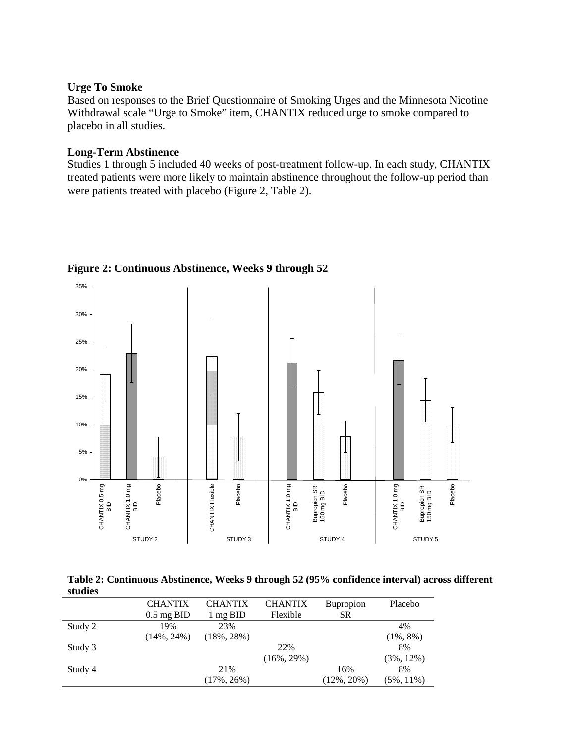#### **Urge To Smoke**

Based on responses to the Brief Questionnaire of Smoking Urges and the Minnesota Nicotine Withdrawal scale "Urge to Smoke" item, CHANTIX reduced urge to smoke compared to placebo in all studies.

#### **Long-Term Abstinence**

Studies 1 through 5 included 40 weeks of post-treatment follow-up. In each study, CHANTIX treated patients were more likely to maintain abstinence throughout the follow-up period than were patients treated with placebo (Figure 2, Table 2).



# **Figure 2: Continuous Abstinence, Weeks 9 through 52**

**Table 2: Continuous Abstinence, Weeks 9 through 52 (95% confidence interval) across different studies**

|         | <b>CHANTIX</b>       | <b>CHANTIX</b> | <b>CHANTIX</b> | <b>Bupropion</b> | Placebo       |
|---------|----------------------|----------------|----------------|------------------|---------------|
|         | $0.5 \text{ mg BID}$ | 1 mg BID       | Flexible       | <b>SR</b>        |               |
| Study 2 | 19%                  | 23%            |                |                  | 4%            |
|         | $(14\%, 24\%)$       | $(18\%, 28\%)$ |                |                  | $(1\%, 8\%)$  |
| Study 3 |                      |                | 22%            |                  | 8%            |
|         |                      |                | $(16\%, 29\%)$ |                  | $(3\%, 12\%)$ |
| Study 4 |                      | 21%            |                | 16%              | 8%            |
|         |                      | $(17\%, 26\%)$ |                | $(12\%, 20\%)$   | $(5\%, 11\%)$ |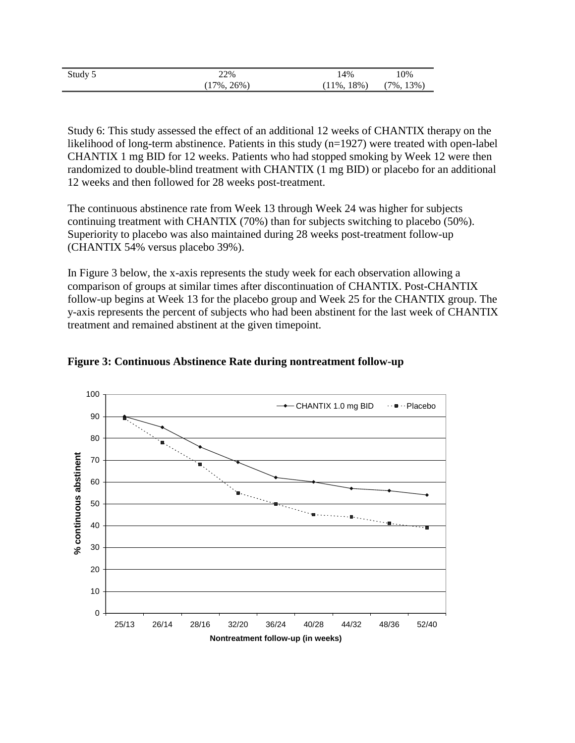| Study 5 | 22%      | 4%             | .0%           |
|---------|----------|----------------|---------------|
|         | 17%. 26% | $(11\%, 18\%)$ | $(7\%, 13\%)$ |

Study 6: This study assessed the effect of an additional 12 weeks of CHANTIX therapy on the likelihood of long-term abstinence. Patients in this study (n=1927) were treated with open-label CHANTIX 1 mg BID for 12 weeks. Patients who had stopped smoking by Week 12 were then randomized to double-blind treatment with CHANTIX (1 mg BID) or placebo for an additional 12 weeks and then followed for 28 weeks post-treatment.

The continuous abstinence rate from Week 13 through Week 24 was higher for subjects continuing treatment with CHANTIX (70%) than for subjects switching to placebo (50%). Superiority to placebo was also maintained during 28 weeks post-treatment follow-up (CHANTIX 54% versus placebo 39%).

In Figure 3 below, the x-axis represents the study week for each observation allowing a comparison of groups at similar times after discontinuation of CHANTIX. Post-CHANTIX follow-up begins at Week 13 for the placebo group and Week 25 for the CHANTIX group. The y-axis represents the percent of subjects who had been abstinent for the last week of CHANTIX treatment and remained abstinent at the given timepoint.



#### **Figure 3: Continuous Abstinence Rate during nontreatment follow-up**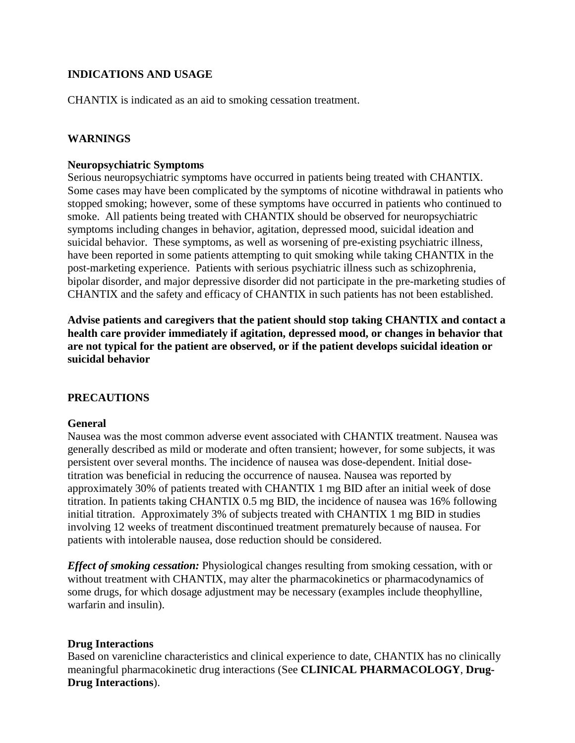# **INDICATIONS AND USAGE**

CHANTIX is indicated as an aid to smoking cessation treatment.

# **WARNINGS**

#### **Neuropsychiatric Symptoms**

Serious neuropsychiatric symptoms have occurred in patients being treated with CHANTIX. Some cases may have been complicated by the symptoms of nicotine withdrawal in patients who stopped smoking; however, some of these symptoms have occurred in patients who continued to smoke. All patients being treated with CHANTIX should be observed for neuropsychiatric symptoms including changes in behavior, agitation, depressed mood, suicidal ideation and suicidal behavior. These symptoms, as well as worsening of pre-existing psychiatric illness, have been reported in some patients attempting to quit smoking while taking CHANTIX in the post-marketing experience. Patients with serious psychiatric illness such as schizophrenia, bipolar disorder, and major depressive disorder did not participate in the pre-marketing studies of CHANTIX and the safety and efficacy of CHANTIX in such patients has not been established.

**Advise patients and caregivers that the patient should stop taking CHANTIX and contact a health care provider immediately if agitation, depressed mood, or changes in behavior that are not typical for the patient are observed, or if the patient develops suicidal ideation or suicidal behavior** 

# **PRECAUTIONS**

#### **General**

Nausea was the most common adverse event associated with CHANTIX treatment. Nausea was generally described as mild or moderate and often transient; however, for some subjects, it was persistent over several months. The incidence of nausea was dose-dependent. Initial dosetitration was beneficial in reducing the occurrence of nausea. Nausea was reported by approximately 30% of patients treated with CHANTIX 1 mg BID after an initial week of dose titration. In patients taking CHANTIX 0.5 mg BID, the incidence of nausea was 16% following initial titration. Approximately 3% of subjects treated with CHANTIX 1 mg BID in studies involving 12 weeks of treatment discontinued treatment prematurely because of nausea. For patients with intolerable nausea, dose reduction should be considered.

*Effect of smoking cessation:* Physiological changes resulting from smoking cessation, with or without treatment with CHANTIX, may alter the pharmacokinetics or pharmacodynamics of some drugs, for which dosage adjustment may be necessary (examples include theophylline, warfarin and insulin).

#### **Drug Interactions**

Based on varenicline characteristics and clinical experience to date, CHANTIX has no clinically meaningful pharmacokinetic drug interactions (See **CLINICAL PHARMACOLOGY**, **Drug-Drug Interactions**).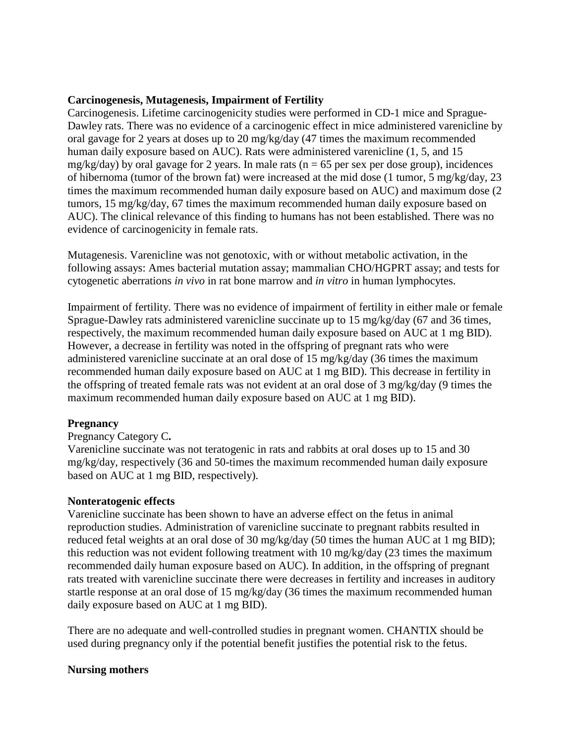#### **Carcinogenesis, Mutagenesis, Impairment of Fertility**

Carcinogenesis. Lifetime carcinogenicity studies were performed in CD-1 mice and Sprague-Dawley rats. There was no evidence of a carcinogenic effect in mice administered varenicline by oral gavage for 2 years at doses up to 20 mg/kg/day (47 times the maximum recommended human daily exposure based on AUC). Rats were administered varenicline (1, 5, and 15 mg/kg/day) by oral gavage for 2 years. In male rats ( $n = 65$  per sex per dose group), incidences of hibernoma (tumor of the brown fat) were increased at the mid dose (1 tumor, 5 mg/kg/day, 23 times the maximum recommended human daily exposure based on AUC) and maximum dose (2 tumors, 15 mg/kg/day, 67 times the maximum recommended human daily exposure based on AUC). The clinical relevance of this finding to humans has not been established. There was no evidence of carcinogenicity in female rats.

Mutagenesis. Varenicline was not genotoxic, with or without metabolic activation, in the following assays: Ames bacterial mutation assay; mammalian CHO/HGPRT assay; and tests for cytogenetic aberrations *in vivo* in rat bone marrow and *in vitro* in human lymphocytes.

Impairment of fertility. There was no evidence of impairment of fertility in either male or female Sprague-Dawley rats administered varenicline succinate up to 15 mg/kg/day (67 and 36 times, respectively, the maximum recommended human daily exposure based on AUC at 1 mg BID). However, a decrease in fertility was noted in the offspring of pregnant rats who were administered varenicline succinate at an oral dose of 15 mg/kg/day (36 times the maximum recommended human daily exposure based on AUC at 1 mg BID). This decrease in fertility in the offspring of treated female rats was not evident at an oral dose of 3 mg/kg/day (9 times the maximum recommended human daily exposure based on AUC at 1 mg BID).

#### **Pregnancy**

#### Pregnancy Category C**.**

Varenicline succinate was not teratogenic in rats and rabbits at oral doses up to 15 and 30 mg/kg/day, respectively (36 and 50-times the maximum recommended human daily exposure based on AUC at 1 mg BID, respectively).

#### **Nonteratogenic effects**

Varenicline succinate has been shown to have an adverse effect on the fetus in animal reproduction studies. Administration of varenicline succinate to pregnant rabbits resulted in reduced fetal weights at an oral dose of 30 mg/kg/day (50 times the human AUC at 1 mg BID); this reduction was not evident following treatment with 10 mg/kg/day (23 times the maximum recommended daily human exposure based on AUC). In addition, in the offspring of pregnant rats treated with varenicline succinate there were decreases in fertility and increases in auditory startle response at an oral dose of 15 mg/kg/day (36 times the maximum recommended human daily exposure based on AUC at 1 mg BID).

There are no adequate and well-controlled studies in pregnant women. CHANTIX should be used during pregnancy only if the potential benefit justifies the potential risk to the fetus.

#### **Nursing mothers**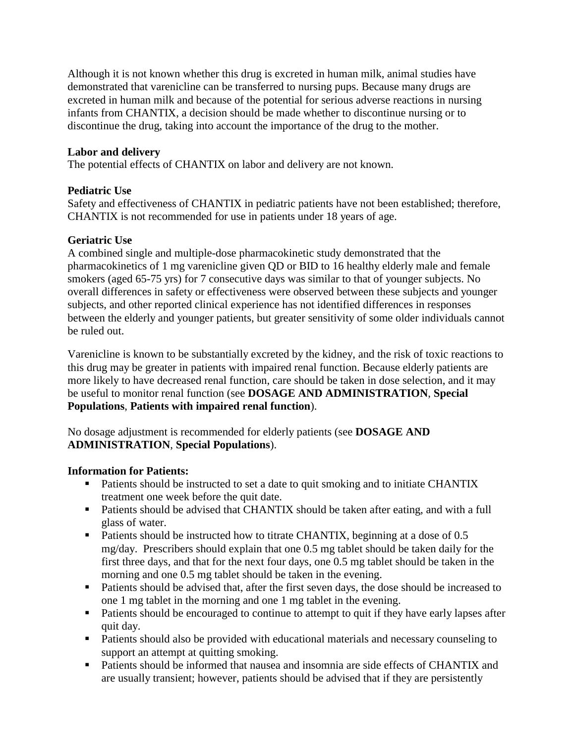Although it is not known whether this drug is excreted in human milk, animal studies have demonstrated that varenicline can be transferred to nursing pups. Because many drugs are excreted in human milk and because of the potential for serious adverse reactions in nursing infants from CHANTIX, a decision should be made whether to discontinue nursing or to discontinue the drug, taking into account the importance of the drug to the mother.

### **Labor and delivery**

The potential effects of CHANTIX on labor and delivery are not known.

#### **Pediatric Use**

Safety and effectiveness of CHANTIX in pediatric patients have not been established; therefore, CHANTIX is not recommended for use in patients under 18 years of age.

#### **Geriatric Use**

A combined single and multiple-dose pharmacokinetic study demonstrated that the pharmacokinetics of 1 mg varenicline given QD or BID to 16 healthy elderly male and female smokers (aged 65-75 yrs) for 7 consecutive days was similar to that of younger subjects. No overall differences in safety or effectiveness were observed between these subjects and younger subjects, and other reported clinical experience has not identified differences in responses between the elderly and younger patients, but greater sensitivity of some older individuals cannot be ruled out.

Varenicline is known to be substantially excreted by the kidney, and the risk of toxic reactions to this drug may be greater in patients with impaired renal function. Because elderly patients are more likely to have decreased renal function, care should be taken in dose selection, and it may be useful to monitor renal function (see **DOSAGE AND ADMINISTRATION**, **Special Populations**, **Patients with impaired renal function**).

No dosage adjustment is recommended for elderly patients (see **DOSAGE AND ADMINISTRATION**, **Special Populations**).

# **Information for Patients:**

- Patients should be instructed to set a date to quit smoking and to initiate CHANTIX treatment one week before the quit date.
- Patients should be advised that CHANTIX should be taken after eating, and with a full glass of water.
- Patients should be instructed how to titrate CHANTIX, beginning at a dose of 0.5 mg/day. Prescribers should explain that one 0.5 mg tablet should be taken daily for the first three days, and that for the next four days, one 0.5 mg tablet should be taken in the morning and one 0.5 mg tablet should be taken in the evening.
- **Patients should be advised that, after the first seven days, the dose should be increased to** one 1 mg tablet in the morning and one 1 mg tablet in the evening.
- Patients should be encouraged to continue to attempt to quit if they have early lapses after quit day.
- **Patients should also be provided with educational materials and necessary counseling to** support an attempt at quitting smoking.
- Patients should be informed that nausea and insomnia are side effects of CHANTIX and are usually transient; however, patients should be advised that if they are persistently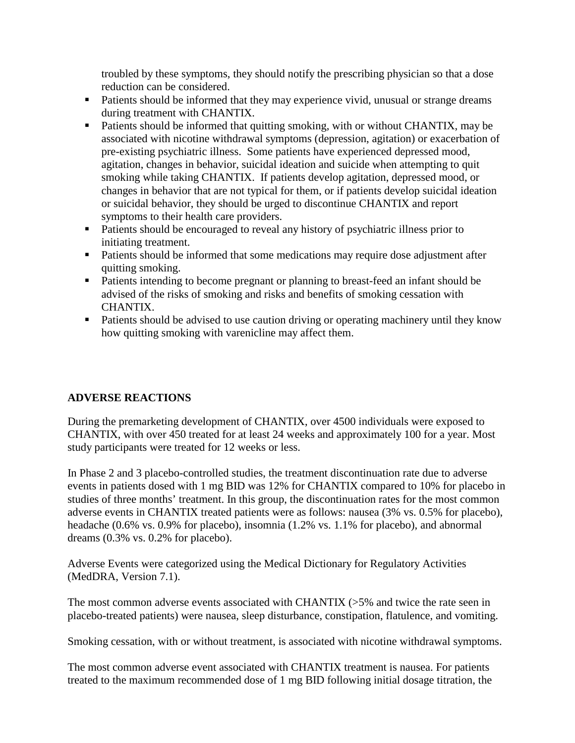troubled by these symptoms, they should notify the prescribing physician so that a dose reduction can be considered.

- **Patients should be informed that they may experience vivid, unusual or strange dreams** during treatment with CHANTIX.
- Patients should be informed that quitting smoking, with or without CHANTIX, may be associated with nicotine withdrawal symptoms (depression, agitation) or exacerbation of pre-existing psychiatric illness. Some patients have experienced depressed mood, agitation, changes in behavior, suicidal ideation and suicide when attempting to quit smoking while taking CHANTIX. If patients develop agitation, depressed mood, or changes in behavior that are not typical for them, or if patients develop suicidal ideation or suicidal behavior, they should be urged to discontinue CHANTIX and report symptoms to their health care providers.
- Patients should be encouraged to reveal any history of psychiatric illness prior to initiating treatment.
- Patients should be informed that some medications may require dose adjustment after quitting smoking.
- Patients intending to become pregnant or planning to breast-feed an infant should be advised of the risks of smoking and risks and benefits of smoking cessation with CHANTIX.
- **Patients should be advised to use caution driving or operating machinery until they know** how quitting smoking with varenicline may affect them.

# **ADVERSE REACTIONS**

During the premarketing development of CHANTIX, over 4500 individuals were exposed to CHANTIX, with over 450 treated for at least 24 weeks and approximately 100 for a year. Most study participants were treated for 12 weeks or less.

In Phase 2 and 3 placebo-controlled studies, the treatment discontinuation rate due to adverse events in patients dosed with 1 mg BID was 12% for CHANTIX compared to 10% for placebo in studies of three months' treatment. In this group, the discontinuation rates for the most common adverse events in CHANTIX treated patients were as follows: nausea (3% vs. 0.5% for placebo), headache (0.6% vs. 0.9% for placebo), insomnia (1.2% vs. 1.1% for placebo), and abnormal dreams (0.3% vs. 0.2% for placebo).

Adverse Events were categorized using the Medical Dictionary for Regulatory Activities (MedDRA, Version 7.1).

The most common adverse events associated with CHANTIX (>5% and twice the rate seen in placebo-treated patients) were nausea, sleep disturbance, constipation, flatulence, and vomiting.

Smoking cessation, with or without treatment, is associated with nicotine withdrawal symptoms.

The most common adverse event associated with CHANTIX treatment is nausea. For patients treated to the maximum recommended dose of 1 mg BID following initial dosage titration, the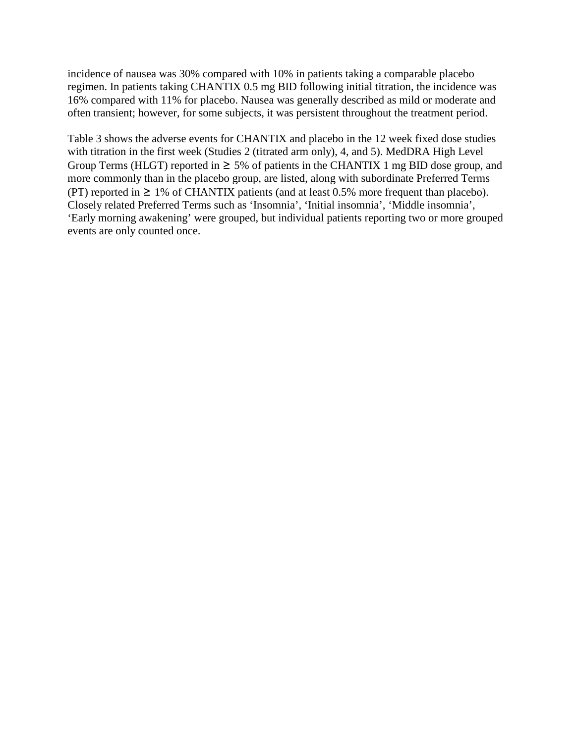incidence of nausea was 30% compared with 10% in patients taking a comparable placebo regimen. In patients taking CHANTIX 0.5 mg BID following initial titration, the incidence was 16% compared with 11% for placebo. Nausea was generally described as mild or moderate and often transient; however, for some subjects, it was persistent throughout the treatment period.

Table 3 shows the adverse events for CHANTIX and placebo in the 12 week fixed dose studies with titration in the first week (Studies 2 (titrated arm only), 4, and 5). MedDRA High Level Group Terms (HLGT) reported in  $\geq$  5% of patients in the CHANTIX 1 mg BID dose group, and more commonly than in the placebo group, are listed, along with subordinate Preferred Terms (PT) reported in  $\geq 1\%$  of CHANTIX patients (and at least 0.5% more frequent than placebo). Closely related Preferred Terms such as 'Insomnia', 'Initial insomnia', 'Middle insomnia', 'Early morning awakening' were grouped, but individual patients reporting two or more grouped events are only counted once.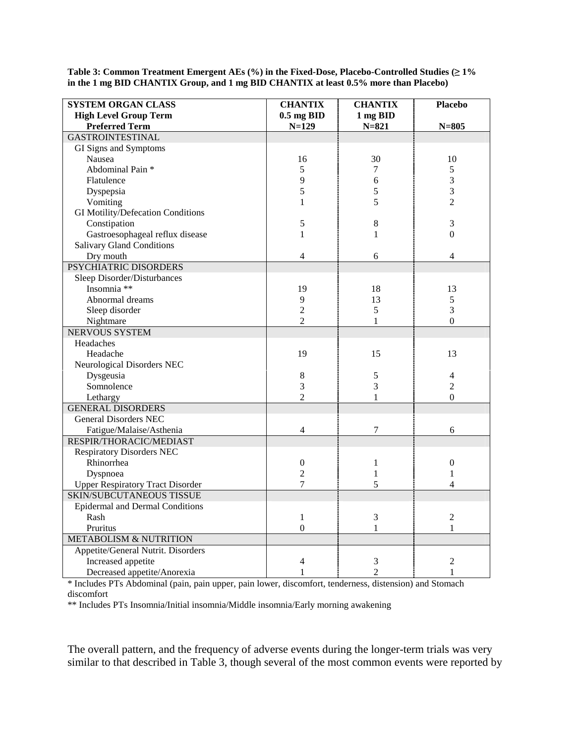| <b>SYSTEM ORGAN CLASS</b>               | <b>CHANTIX</b>   | <b>CHANTIX</b> | <b>Placebo</b>   |
|-----------------------------------------|------------------|----------------|------------------|
| <b>High Level Group Term</b>            | $0.5$ mg BID     | 1 mg BID       |                  |
| <b>Preferred Term</b>                   | $N=129$          | $N = 821$      | $N = 805$        |
| <b>GASTROINTESTINAL</b>                 |                  |                |                  |
| GI Signs and Symptoms                   |                  |                |                  |
| Nausea                                  | 16               | 30             | 10               |
| Abdominal Pain *                        | 5                | 7              | 5                |
| Flatulence                              | 9                | 6              | 3                |
| Dyspepsia                               | 5                | $\sqrt{5}$     | $\overline{3}$   |
| Vomiting                                | $\mathbf{1}$     | 5              | $\overline{2}$   |
| GI Motility/Defecation Conditions       |                  |                |                  |
| Constipation                            | 5                | $\,8\,$        | $\mathfrak{Z}$   |
| Gastroesophageal reflux disease         | $\mathbf{1}$     | $\mathbf{1}$   | $\mathbf{0}$     |
| <b>Salivary Gland Conditions</b>        |                  |                |                  |
| Dry mouth                               | $\overline{4}$   | 6              | 4                |
| PSYCHIATRIC DISORDERS                   |                  |                |                  |
| Sleep Disorder/Disturbances             |                  |                |                  |
| Insomnia **                             | 19               | 18             | 13               |
| Abnormal dreams                         | 9                | 13             | 5                |
| Sleep disorder                          | $\overline{2}$   | 5              | 3                |
| Nightmare                               | $\overline{2}$   | $\mathbf{1}$   | $\boldsymbol{0}$ |
| NERVOUS SYSTEM                          |                  |                |                  |
| Headaches                               |                  |                |                  |
| Headache                                | 19               | 15             | 13               |
| Neurological Disorders NEC              |                  |                |                  |
| Dysgeusia                               | $\,8\,$          | $\sqrt{5}$     | 4                |
| Somnolence                              | 3                | 3              | $\sqrt{2}$       |
| Lethargy                                | $\overline{2}$   | $\mathbf{1}$   | $\overline{0}$   |
| <b>GENERAL DISORDERS</b>                |                  |                |                  |
| <b>General Disorders NEC</b>            |                  |                |                  |
| Fatigue/Malaise/Asthenia                | $\overline{4}$   | $\tau$         | 6                |
| RESPIR/THORACIC/MEDIAST                 |                  |                |                  |
| <b>Respiratory Disorders NEC</b>        |                  |                |                  |
| Rhinorrhea                              | $\boldsymbol{0}$ | $\mathbf{1}$   | $\boldsymbol{0}$ |
| Dyspnoea                                | $\overline{2}$   | $\mathbf{1}$   | $\mathbf{1}$     |
| <b>Upper Respiratory Tract Disorder</b> | $\overline{7}$   | 5              | $\overline{4}$   |
| <b>SKIN/SUBCUTANEOUS TISSUE</b>         |                  |                |                  |
| <b>Epidermal and Dermal Conditions</b>  |                  |                |                  |
| Rash                                    | $\mathbf{1}$     | 3              | $\overline{2}$   |
| Pruritus                                | $\boldsymbol{0}$ | $\mathbf{1}$   | $\mathbf{1}$     |
| METABOLISM & NUTRITION                  |                  |                |                  |
| Appetite/General Nutrit. Disorders      |                  |                |                  |
| Increased appetite                      | 4                | 3              | $\overline{c}$   |
| Decreased appetite/Anorexia             | 1                | $\overline{2}$ | 1                |

**Table 3: Common Treatment Emergent AEs (%) in the Fixed-Dose, Placebo-Controlled Studies (≥ 1% in the 1 mg BID CHANTIX Group, and 1 mg BID CHANTIX at least 0.5% more than Placebo)** 

\* Includes PTs Abdominal (pain, pain upper, pain lower, discomfort, tenderness, distension) and Stomach discomfort

\*\* Includes PTs Insomnia/Initial insomnia/Middle insomnia/Early morning awakening

The overall pattern, and the frequency of adverse events during the longer-term trials was very similar to that described in Table 3, though several of the most common events were reported by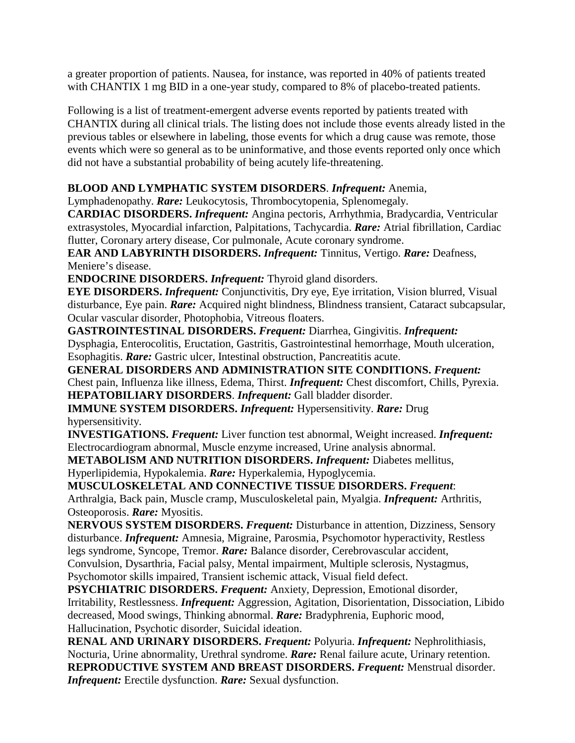a greater proportion of patients. Nausea, for instance, was reported in 40% of patients treated with CHANTIX 1 mg BID in a one-year study, compared to 8% of placebo-treated patients.

Following is a list of treatment-emergent adverse events reported by patients treated with CHANTIX during all clinical trials. The listing does not include those events already listed in the previous tables or elsewhere in labeling, those events for which a drug cause was remote, those events which were so general as to be uninformative, and those events reported only once which did not have a substantial probability of being acutely life-threatening.

# **BLOOD AND LYMPHATIC SYSTEM DISORDERS**. *Infrequent:* Anemia,

Lymphadenopathy. *Rare:* Leukocytosis, Thrombocytopenia, Splenomegaly.

**CARDIAC DISORDERS.** *Infrequent:* Angina pectoris, Arrhythmia, Bradycardia, Ventricular extrasystoles, Myocardial infarction, Palpitations, Tachycardia. *Rare:* Atrial fibrillation, Cardiac flutter, Coronary artery disease, Cor pulmonale, Acute coronary syndrome.

**EAR AND LABYRINTH DISORDERS.** *Infrequent:* Tinnitus, Vertigo. *Rare:* Deafness, Meniere's disease.

**ENDOCRINE DISORDERS.** *Infrequent:* Thyroid gland disorders.

**EYE DISORDERS.** *Infrequent:* Conjunctivitis, Dry eye, Eye irritation, Vision blurred, Visual disturbance, Eye pain. *Rare:* Acquired night blindness, Blindness transient, Cataract subcapsular, Ocular vascular disorder, Photophobia, Vitreous floaters.

**GASTROINTESTINAL DISORDERS.** *Frequent:* Diarrhea, Gingivitis. *Infrequent:*  Dysphagia, Enterocolitis, Eructation, Gastritis, Gastrointestinal hemorrhage, Mouth ulceration, Esophagitis. *Rare:* Gastric ulcer, Intestinal obstruction, Pancreatitis acute.

**GENERAL DISORDERS AND ADMINISTRATION SITE CONDITIONS.** *Frequent:*  Chest pain, Influenza like illness, Edema, Thirst. *Infrequent:* Chest discomfort, Chills, Pyrexia. **HEPATOBILIARY DISORDERS**. *Infrequent:* Gall bladder disorder.

**IMMUNE SYSTEM DISORDERS.** *Infrequent:* Hypersensitivity. *Rare:* Drug hypersensitivity.

**INVESTIGATIONS.** *Frequent:* Liver function test abnormal, Weight increased. *Infrequent:*  Electrocardiogram abnormal, Muscle enzyme increased, Urine analysis abnormal.

**METABOLISM AND NUTRITION DISORDERS.** *Infrequent:* Diabetes mellitus,

Hyperlipidemia, Hypokalemia. *Rare:* Hyperkalemia, Hypoglycemia.

**MUSCULOSKELETAL AND CONNECTIVE TISSUE DISORDERS.** *Frequent*: Arthralgia, Back pain, Muscle cramp, Musculoskeletal pain, Myalgia. *Infrequent:* Arthritis, Osteoporosis. *Rare:* Myositis.

**NERVOUS SYSTEM DISORDERS.** *Frequent:* Disturbance in attention, Dizziness, Sensory disturbance. *Infrequent:* Amnesia, Migraine, Parosmia, Psychomotor hyperactivity, Restless legs syndrome, Syncope, Tremor. *Rare:* Balance disorder, Cerebrovascular accident, Convulsion, Dysarthria, Facial palsy, Mental impairment, Multiple sclerosis, Nystagmus, Psychomotor skills impaired, Transient ischemic attack, Visual field defect.

**PSYCHIATRIC DISORDERS.** *Frequent:* Anxiety, Depression, Emotional disorder, Irritability, Restlessness. *Infrequent:* Aggression, Agitation, Disorientation, Dissociation, Libido decreased, Mood swings, Thinking abnormal. *Rare:* Bradyphrenia, Euphoric mood, Hallucination, Psychotic disorder, Suicidal ideation.

**RENAL AND URINARY DISORDERS.** *Frequent:* Polyuria. *Infrequent:* Nephrolithiasis, Nocturia, Urine abnormality, Urethral syndrome. *Rare:* Renal failure acute, Urinary retention. **REPRODUCTIVE SYSTEM AND BREAST DISORDERS.** *Frequent:* Menstrual disorder. *Infrequent:* Erectile dysfunction. *Rare:* Sexual dysfunction.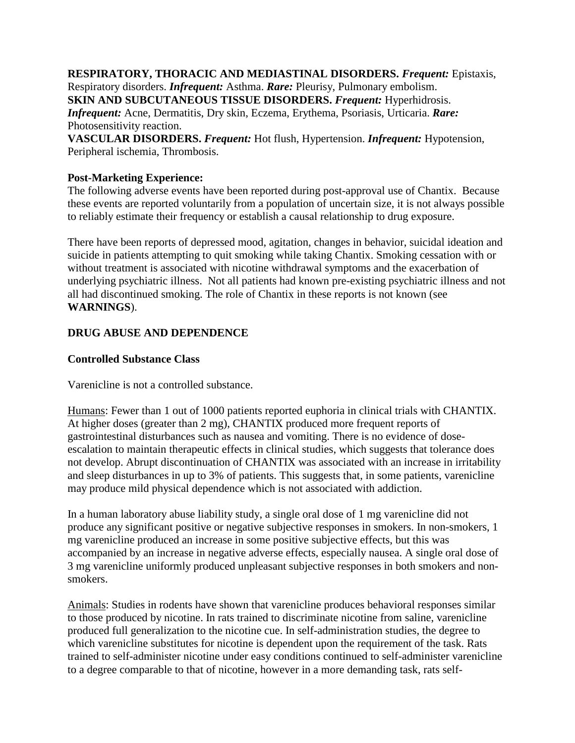**RESPIRATORY, THORACIC AND MEDIASTINAL DISORDERS.** *Frequent:* Epistaxis, Respiratory disorders. *Infrequent:* Asthma. *Rare:* Pleurisy, Pulmonary embolism. **SKIN AND SUBCUTANEOUS TISSUE DISORDERS.** *Frequent:* Hyperhidrosis. *Infrequent: Acne, Dermatitis, Dry skin, Eczema, Erythema, Psoriasis, Urticaria. Rare:* Photosensitivity reaction. **VASCULAR DISORDERS.** *Frequent:* Hot flush, Hypertension. *Infrequent:* Hypotension,

**Post-Marketing Experience:** 

Peripheral ischemia, Thrombosis.

The following adverse events have been reported during post-approval use of Chantix. Because these events are reported voluntarily from a population of uncertain size, it is not always possible to reliably estimate their frequency or establish a causal relationship to drug exposure.

There have been reports of depressed mood, agitation, changes in behavior, suicidal ideation and suicide in patients attempting to quit smoking while taking Chantix. Smoking cessation with or without treatment is associated with nicotine withdrawal symptoms and the exacerbation of underlying psychiatric illness. Not all patients had known pre-existing psychiatric illness and not all had discontinued smoking. The role of Chantix in these reports is not known (see **WARNINGS**).

# **DRUG ABUSE AND DEPENDENCE**

#### **Controlled Substance Class**

Varenicline is not a controlled substance.

Humans: Fewer than 1 out of 1000 patients reported euphoria in clinical trials with CHANTIX. At higher doses (greater than 2 mg), CHANTIX produced more frequent reports of gastrointestinal disturbances such as nausea and vomiting. There is no evidence of doseescalation to maintain therapeutic effects in clinical studies, which suggests that tolerance does not develop. Abrupt discontinuation of CHANTIX was associated with an increase in irritability and sleep disturbances in up to 3% of patients. This suggests that, in some patients, varenicline may produce mild physical dependence which is not associated with addiction.

In a human laboratory abuse liability study, a single oral dose of 1 mg varenicline did not produce any significant positive or negative subjective responses in smokers. In non-smokers, 1 mg varenicline produced an increase in some positive subjective effects, but this was accompanied by an increase in negative adverse effects, especially nausea. A single oral dose of 3 mg varenicline uniformly produced unpleasant subjective responses in both smokers and nonsmokers.

Animals: Studies in rodents have shown that varenicline produces behavioral responses similar to those produced by nicotine. In rats trained to discriminate nicotine from saline, varenicline produced full generalization to the nicotine cue. In self-administration studies, the degree to which varenicline substitutes for nicotine is dependent upon the requirement of the task. Rats trained to self-administer nicotine under easy conditions continued to self-administer varenicline to a degree comparable to that of nicotine, however in a more demanding task, rats self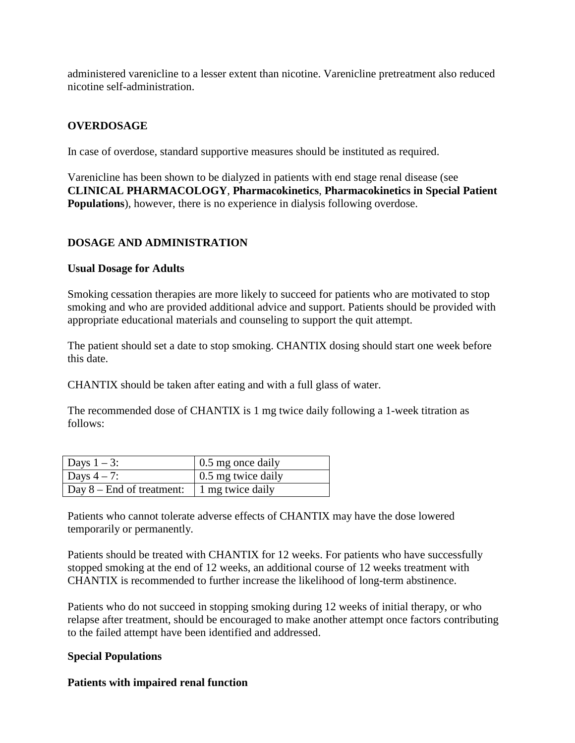administered varenicline to a lesser extent than nicotine. Varenicline pretreatment also reduced nicotine self-administration.

#### **OVERDOSAGE**

In case of overdose, standard supportive measures should be instituted as required.

Varenicline has been shown to be dialyzed in patients with end stage renal disease (see **CLINICAL PHARMACOLOGY**, **Pharmacokinetics**, **Pharmacokinetics in Special Patient Populations**), however, there is no experience in dialysis following overdose.

#### **DOSAGE AND ADMINISTRATION**

#### **Usual Dosage for Adults**

Smoking cessation therapies are more likely to succeed for patients who are motivated to stop smoking and who are provided additional advice and support. Patients should be provided with appropriate educational materials and counseling to support the quit attempt.

The patient should set a date to stop smoking. CHANTIX dosing should start one week before this date.

CHANTIX should be taken after eating and with a full glass of water.

The recommended dose of CHANTIX is 1 mg twice daily following a 1-week titration as follows:

| Days $1-3$ :                 | $\vert$ 0.5 mg once daily  |
|------------------------------|----------------------------|
| Days $4-7$ :                 | $\vert$ 0.5 mg twice daily |
| $\log 8$ – End of treatment: | 1 mg twice daily           |

Patients who cannot tolerate adverse effects of CHANTIX may have the dose lowered temporarily or permanently.

Patients should be treated with CHANTIX for 12 weeks. For patients who have successfully stopped smoking at the end of 12 weeks, an additional course of 12 weeks treatment with CHANTIX is recommended to further increase the likelihood of long-term abstinence.

Patients who do not succeed in stopping smoking during 12 weeks of initial therapy, or who relapse after treatment, should be encouraged to make another attempt once factors contributing to the failed attempt have been identified and addressed.

#### **Special Populations**

#### **Patients with impaired renal function**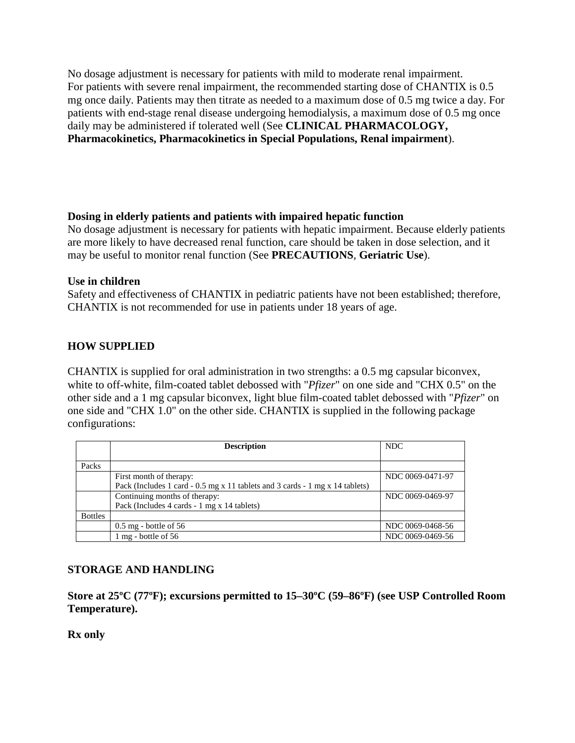No dosage adjustment is necessary for patients with mild to moderate renal impairment. For patients with severe renal impairment, the recommended starting dose of CHANTIX is 0.5 mg once daily. Patients may then titrate as needed to a maximum dose of 0.5 mg twice a day. For patients with end-stage renal disease undergoing hemodialysis, a maximum dose of 0.5 mg once daily may be administered if tolerated well (See **CLINICAL PHARMACOLOGY, Pharmacokinetics, Pharmacokinetics in Special Populations, Renal impairment**).

#### **Dosing in elderly patients and patients with impaired hepatic function**

No dosage adjustment is necessary for patients with hepatic impairment. Because elderly patients are more likely to have decreased renal function, care should be taken in dose selection, and it may be useful to monitor renal function (See **PRECAUTIONS**, **Geriatric Use**).

#### **Use in children**

Safety and effectiveness of CHANTIX in pediatric patients have not been established; therefore, CHANTIX is not recommended for use in patients under 18 years of age.

# **HOW SUPPLIED**

CHANTIX is supplied for oral administration in two strengths: a 0.5 mg capsular biconvex, white to off-white, film-coated tablet debossed with "*Pfizer*" on one side and "CHX 0.5" on the other side and a 1 mg capsular biconvex, light blue film-coated tablet debossed with "*Pfizer*" on one side and "CHX 1.0" on the other side. CHANTIX is supplied in the following package configurations:

|                | <b>Description</b>                                                           | <b>NDC</b>       |
|----------------|------------------------------------------------------------------------------|------------------|
|                |                                                                              |                  |
| Packs          |                                                                              |                  |
|                | First month of therapy:                                                      | NDC 0069-0471-97 |
|                | Pack (Includes 1 card - 0.5 mg x 11 tablets and 3 cards - 1 mg x 14 tablets) |                  |
|                | Continuing months of therapy:                                                | NDC 0069-0469-97 |
|                | Pack (Includes 4 cards - 1 mg x 14 tablets)                                  |                  |
| <b>Bottles</b> |                                                                              |                  |
|                | $0.5$ mg - bottle of 56                                                      | NDC 0069-0468-56 |
|                | 1 mg - bottle of 56                                                          | NDC 0069-0469-56 |

# **STORAGE AND HANDLING**

**Store at 25ºC (77ºF); excursions permitted to 15–30ºC (59–86ºF) (see USP Controlled Room Temperature).** 

**Rx only**